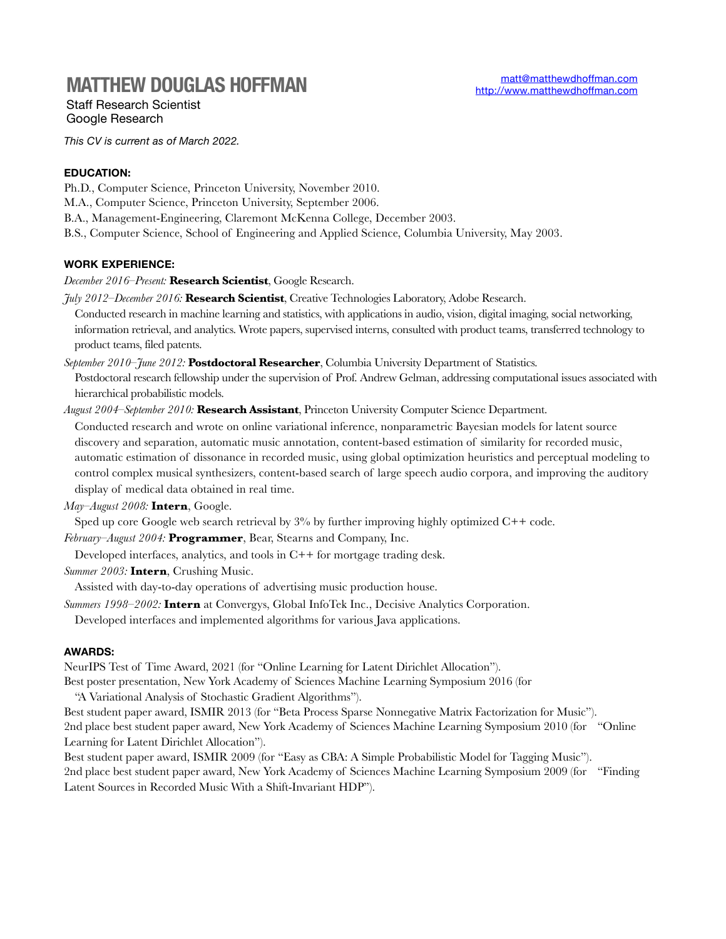# **MATTHEW DOUGLAS HOFFMAN**

Staff Research Scientist Google Research

*This CV is current as of March 2022.* 

# **EDUCATION:**

- Ph.D., Computer Science, Princeton University, November 2010.
- M.A., Computer Science, Princeton University, September 2006.
- B.A., Management-Engineering, Claremont McKenna College, December 2003.
- B.S., Computer Science, School of Engineering and Applied Science, Columbia University, May 2003.

## **WORK EXPERIENCE:**

*December 2016–Present:* **Research Scientist**, Google Research.

- *July 2012–December 2016:* **Research Scientist**, Creative Technologies Laboratory, Adobe Research.
- Conducted research in machine learning and statistics, with applications in audio, vision, digital imaging, social networking, information retrieval, and analytics. Wrote papers, supervised interns, consulted with product teams, transferred technology to product teams, filed patents.
- *September 2010–June 2012:* Postdoctoral Researcher, Columbia University Department of Statistics.

Postdoctoral research fellowship under the supervision of Prof. Andrew Gelman, addressing computational issues associated with hierarchical probabilistic models.

*August 2004–September 2010:* **Research Assistant**, Princeton University Computer Science Department.

Conducted research and wrote on online variational inference, nonparametric Bayesian models for latent source discovery and separation, automatic music annotation, content-based estimation of similarity for recorded music, automatic estimation of dissonance in recorded music, using global optimization heuristics and perceptual modeling to control complex musical synthesizers, content-based search of large speech audio corpora, and improving the auditory display of medical data obtained in real time.

*May–August 2008:* **Intern**, Google.

Sped up core Google web search retrieval by  $3\%$  by further improving highly optimized  $C++$  code.

*February–August 2004:* **Programmer**, Bear, Stearns and Company, Inc.

Developed interfaces, analytics, and tools in C++ for mortgage trading desk.

*Summer 2003:* **Intern**, Crushing Music.

Assisted with day-to-day operations of advertising music production house.

*Summers 1998–2002:* **Intern** at Convergys, Global InfoTek Inc., Decisive Analytics Corporation. Developed interfaces and implemented algorithms for various Java applications.

#### **AWARDS:**

NeurIPS Test of Time Award, 2021 (for "Online Learning for Latent Dirichlet Allocation").

Best poster presentation, New York Academy of Sciences Machine Learning Symposium 2016 (for

"A Variational Analysis of Stochastic Gradient Algorithms").

Best student paper award, ISMIR 2013 (for "Beta Process Sparse Nonnegative Matrix Factorization for Music"). 2nd place best student paper award, New York Academy of Sciences Machine Learning Symposium 2010 (for "Online Learning for Latent Dirichlet Allocation").

Best student paper award, ISMIR 2009 (for "Easy as CBA: A Simple Probabilistic Model for Tagging Music"). 2nd place best student paper award, New York Academy of Sciences Machine Learning Symposium 2009 (for "Finding Latent Sources in Recorded Music With a Shift-Invariant HDP").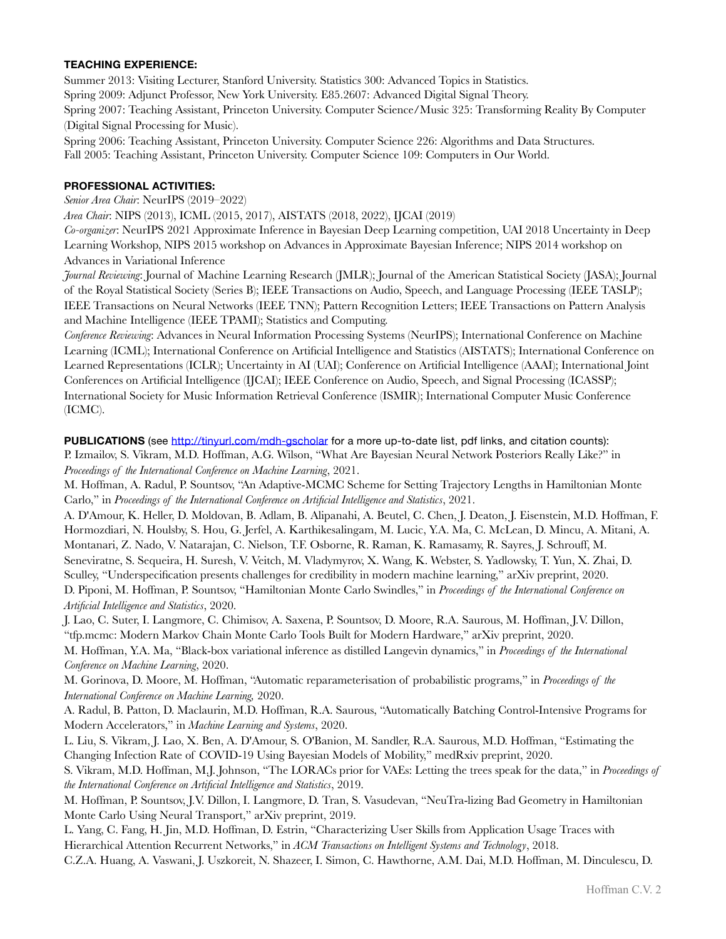## **TEACHING EXPERIENCE:**

Summer 2013: Visiting Lecturer, Stanford University. Statistics 300: Advanced Topics in Statistics. Spring 2009: Adjunct Professor, New York University. E85.2607: Advanced Digital Signal Theory. Spring 2007: Teaching Assistant, Princeton University. Computer Science/Music 325: Transforming Reality By Computer (Digital Signal Processing for Music).

Spring 2006: Teaching Assistant, Princeton University. Computer Science 226: Algorithms and Data Structures. Fall 2005: Teaching Assistant, Princeton University. Computer Science 109: Computers in Our World.

#### **PROFESSIONAL ACTIVITIES:**

*Senior Area Chair*: NeurIPS (2019–2022)

*Area Chair*: NIPS (2013), ICML (2015, 2017), AISTATS (2018, 2022), IJCAI (2019)

*Co-organizer*: NeurIPS 2021 Approximate Inference in Bayesian Deep Learning competition, UAI 2018 Uncertainty in Deep Learning Workshop, NIPS 2015 workshop on Advances in Approximate Bayesian Inference; NIPS 2014 workshop on Advances in Variational Inference

*Journal Reviewing*: Journal of Machine Learning Research (JMLR); Journal of the American Statistical Society (JASA); Journal of the Royal Statistical Society (Series B); IEEE Transactions on Audio, Speech, and Language Processing (IEEE TASLP); IEEE Transactions on Neural Networks (IEEE TNN); Pattern Recognition Letters; IEEE Transactions on Pattern Analysis and Machine Intelligence (IEEE TPAMI); Statistics and Computing.

*Conference Reviewing*: Advances in Neural Information Processing Systems (NeurIPS); International Conference on Machine Learning (ICML); International Conference on Artificial Intelligence and Statistics (AISTATS); International Conference on Learned Representations (ICLR); Uncertainty in AI (UAI); Conference on Artificial Intelligence (AAAI); International Joint Conferences on Artificial Intelligence (IJCAI); IEEE Conference on Audio, Speech, and Signal Processing (ICASSP); International Society for Music Information Retrieval Conference (ISMIR); International Computer Music Conference (ICMC).

**PUBLICATIONS** (see <http://tinyurl.com/mdh-gscholar>for a more up-to-date list, pdf links, and citation counts): P. Izmailov, S. Vikram, M.D. Hoffman, A.G. Wilson, "What Are Bayesian Neural Network Posteriors Really Like?" in *Proceedings of the International Conference on Machine Learning*, 2021.

M. Hoffman, A. Radul, P. Sountsov, "An Adaptive-MCMC Scheme for Setting Trajectory Lengths in Hamiltonian Monte Carlo," in *Proceedings of the International Conference on Artificial Intelligence and Statistics*, 2021.

A. D'Amour, K. Heller, D. Moldovan, B. Adlam, B. Alipanahi, A. Beutel, C. Chen, J. Deaton, J. Eisenstein, M.D. Hoffman, F. Hormozdiari, N. Houlsby, S. Hou, G. Jerfel, A. Karthikesalingam, M. Lucic, Y.A. Ma, C. McLean, D. Mincu, A. Mitani, A. Montanari, Z. Nado, V. Natarajan, C. Nielson, T.F. Osborne, R. Raman, K. Ramasamy, R. Sayres, J. Schrouff, M. Seneviratne, S. Sequeira, H. Suresh, V. Veitch, M. Vladymyrov, X. Wang, K. Webster, S. Yadlowsky, T. Yun, X. Zhai, D. Sculley, "Underspecification presents challenges for credibility in modern machine learning," arXiv preprint, 2020. D. Piponi, M. Hoffman, P. Sountsov, "Hamiltonian Monte Carlo Swindles," in *Proceedings of the International Conference on Artificial Intelligence and Statistics*, 2020.

J. Lao, C. Suter, I. Langmore, C. Chimisov, A. Saxena, P. Sountsov, D. Moore, R.A. Saurous, M. Hoffman, J.V. Dillon, "tfp.mcmc: Modern Markov Chain Monte Carlo Tools Built for Modern Hardware," arXiv preprint, 2020.

M. Hoffman, Y.A. Ma, "Black-box variational inference as distilled Langevin dynamics," in *Proceedings of the International Conference on Machine Learning*, 2020.

M. Gorinova, D. Moore, M. Hoffman, "Automatic reparameterisation of probabilistic programs," in *Proceedings of the International Conference on Machine Learning,* 2020.

A. Radul, B. Patton, D. Maclaurin, M.D. Hoffman, R.A. Saurous, "Automatically Batching Control-Intensive Programs for Modern Accelerators," in *Machine Learning and Systems*, 2020.

L. Liu, S. Vikram, J. Lao, X. Ben, A. D'Amour, S. O'Banion, M. Sandler, R.A. Saurous, M.D. Hoffman, "Estimating the Changing Infection Rate of COVID-19 Using Bayesian Models of Mobility," medRxiv preprint, 2020.

S. Vikram, M.D. Hoffman, M.J. Johnson, "The LORACs prior for VAEs: Letting the trees speak for the data," in *Proceedings of the International Conference on Artificial Intelligence and Statistics*, 2019.

M. Hoffman, P. Sountsov, J.V. Dillon, I. Langmore, D. Tran, S. Vasudevan, "NeuTra-lizing Bad Geometry in Hamiltonian Monte Carlo Using Neural Transport," arXiv preprint, 2019.

L. Yang, C. Fang, H. Jin, M.D. Hoffman, D. Estrin, "Characterizing User Skills from Application Usage Traces with Hierarchical Attention Recurrent Networks," in *ACM Transactions on Intelligent Systems and Technology*, 2018.

C.Z.A. Huang, A. Vaswani, J. Uszkoreit, N. Shazeer, I. Simon, C. Hawthorne, A.M. Dai, M.D. Hoffman, M. Dinculescu, D.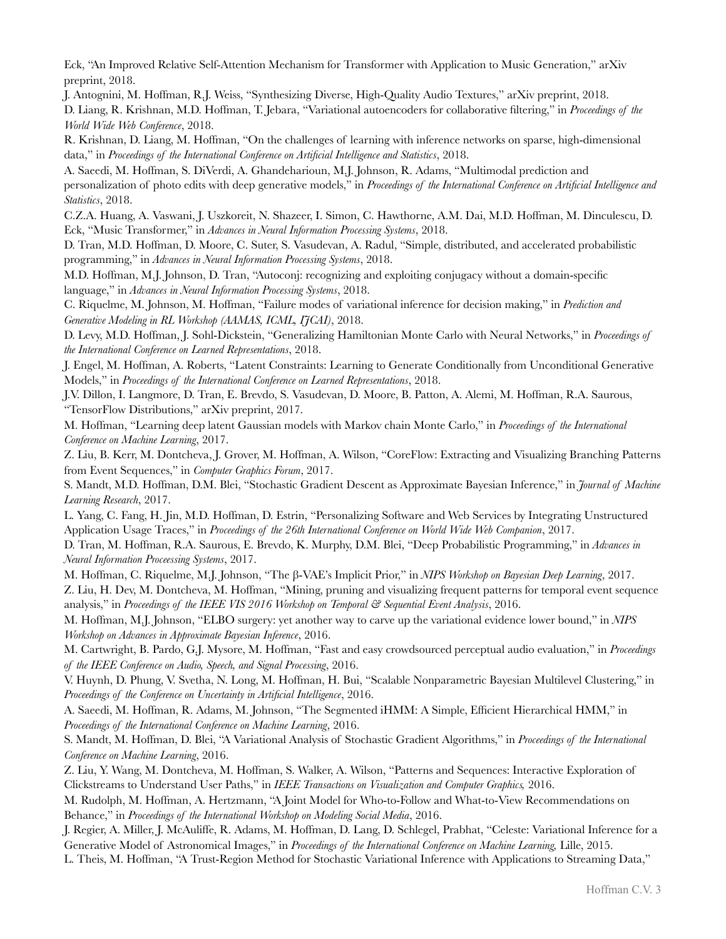Eck, "An Improved Relative Self-Attention Mechanism for Transformer with Application to Music Generation," arXiv preprint, 2018.

J. Antognini, M. Hoffman, R.J. Weiss, "Synthesizing Diverse, High-Quality Audio Textures," arXiv preprint, 2018. D. Liang, R. Krishnan, M.D. Hoffman, T. Jebara, "Variational autoencoders for collaborative filtering," in *Proceedings of the World Wide Web Conference*, 2018.

R. Krishnan, D. Liang, M. Hoffman, "On the challenges of learning with inference networks on sparse, high-dimensional data," in *Proceedings of the International Conference on Artificial Intelligence and Statistics*, 2018.

A. Saeedi, M. Hoffman, S. DiVerdi, A. Ghandeharioun, M.J. Johnson, R. Adams, "Multimodal prediction and personalization of photo edits with deep generative models," in *Proceedings of the International Conference on Artificial Intelligence and Statistics*, 2018.

C.Z.A. Huang, A. Vaswani, J. Uszkoreit, N. Shazeer, I. Simon, C. Hawthorne, A.M. Dai, M.D. Hoffman, M. Dinculescu, D. Eck, "Music Transformer," in *Advances in Neural Information Processing Systems*, 2018.

D. Tran, M.D. Hoffman, D. Moore, C. Suter, S. Vasudevan, A. Radul, "Simple, distributed, and accelerated probabilistic programming," in *Advances in Neural Information Processing Systems*, 2018.

M.D. Hoffman, M.J. Johnson, D. Tran, "Autoconj: recognizing and exploiting conjugacy without a domain-specific language," in *Advances in Neural Information Processing Systems*, 2018.

C. Riquelme, M. Johnson, M. Hoffman, "Failure modes of variational inference for decision making," in *Prediction and Generative Modeling in RL Workshop (AAMAS, ICML, IJCAI)*, 2018.

D. Levy, M.D. Hoffman, J. Sohl-Dickstein, "Generalizing Hamiltonian Monte Carlo with Neural Networks," in *Proceedings of the International Conference on Learned Representations*, 2018.

J. Engel, M. Hoffman, A. Roberts, "Latent Constraints: Learning to Generate Conditionally from Unconditional Generative Models," in *Proceedings of the International Conference on Learned Representations*, 2018.

J.V. Dillon, I. Langmore, D. Tran, E. Brevdo, S. Vasudevan, D. Moore, B. Patton, A. Alemi, M. Hoffman, R.A. Saurous, "TensorFlow Distributions," arXiv preprint, 2017.

M. Hoffman, "Learning deep latent Gaussian models with Markov chain Monte Carlo," in *Proceedings of the International Conference on Machine Learning*, 2017.

Z. Liu, B. Kerr, M. Dontcheva, J. Grover, M. Hoffman, A. Wilson, "CoreFlow: Extracting and Visualizing Branching Patterns from Event Sequences," in *Computer Graphics Forum*, 2017.

S. Mandt, M.D. Hoffman, D.M. Blei, "Stochastic Gradient Descent as Approximate Bayesian Inference," in *Journal of Machine Learning Research*, 2017.

L. Yang, C. Fang, H. Jin, M.D. Hoffman, D. Estrin, "Personalizing Software and Web Services by Integrating Unstructured Application Usage Traces," in *Proceedings of the 26th International Conference on World Wide Web Companion*, 2017.

D. Tran, M. Hoffman, R.A. Saurous, E. Brevdo, K. Murphy, D.M. Blei, "Deep Probabilistic Programming," in *Advances in Neural Information Proceessing Systems*, 2017.

M. Hoffman, C. Riquelme, M.J. Johnson, "The β-VAE's Implicit Prior," in *NIPS Workshop on Bayesian Deep Learning*, 2017. Z. Liu, H. Dev, M. Dontcheva, M. Hoffman, "Mining, pruning and visualizing frequent patterns for temporal event sequence analysis," in *Proceedings of the IEEE VIS 2016 Workshop on Temporal & Sequential Event Analysis*, 2016.

M. Hoffman, M.J. Johnson, "ELBO surgery: yet another way to carve up the variational evidence lower bound," in *NIPS Workshop on Advances in Approximate Bayesian Inference*, 2016.

M. Cartwright, B. Pardo, G.J. Mysore, M. Hoffman, "Fast and easy crowdsourced perceptual audio evaluation," in *Proceedings of the IEEE Conference on Audio, Speech, and Signal Processing*, 2016.

V. Huynh, D. Phung, V. Svetha, N. Long, M. Hoffman, H. Bui, "Scalable Nonparametric Bayesian Multilevel Clustering," in *Proceedings of the Conference on Uncertainty in Artificial Intelligence*, 2016.

A. Saeedi, M. Hoffman, R. Adams, M. Johnson, "The Segmented iHMM: A Simple, Efficient Hierarchical HMM," in *Proceedings of the International Conference on Machine Learning*, 2016.

S. Mandt, M. Hoffman, D. Blei, "A Variational Analysis of Stochastic Gradient Algorithms," in *Proceedings of the International Conference on Machine Learning*, 2016.

Z. Liu, Y. Wang, M. Dontcheva, M. Hoffman, S. Walker, A. Wilson, "Patterns and Sequences: Interactive Exploration of Clickstreams to Understand User Paths," in *IEEE Transactions on Visualization and Computer Graphics,* 2016.

M. Rudolph, M. Hoffman, A. Hertzmann, "A Joint Model for Who-to-Follow and What-to-View Recommendations on Behance," in *Proceedings of the International Workshop on Modeling Social Media*, 2016.

J. Regier, A. Miller, J. McAuliffe, R. Adams, M. Hoffman, D. Lang, D. Schlegel, Prabhat, "Celeste: Variational Inference for a Generative Model of Astronomical Images," in *Proceedings of the International Conference on Machine Learning*, Lille, 2015.

L. Theis, M. Hoffman, "A Trust-Region Method for Stochastic Variational Inference with Applications to Streaming Data,"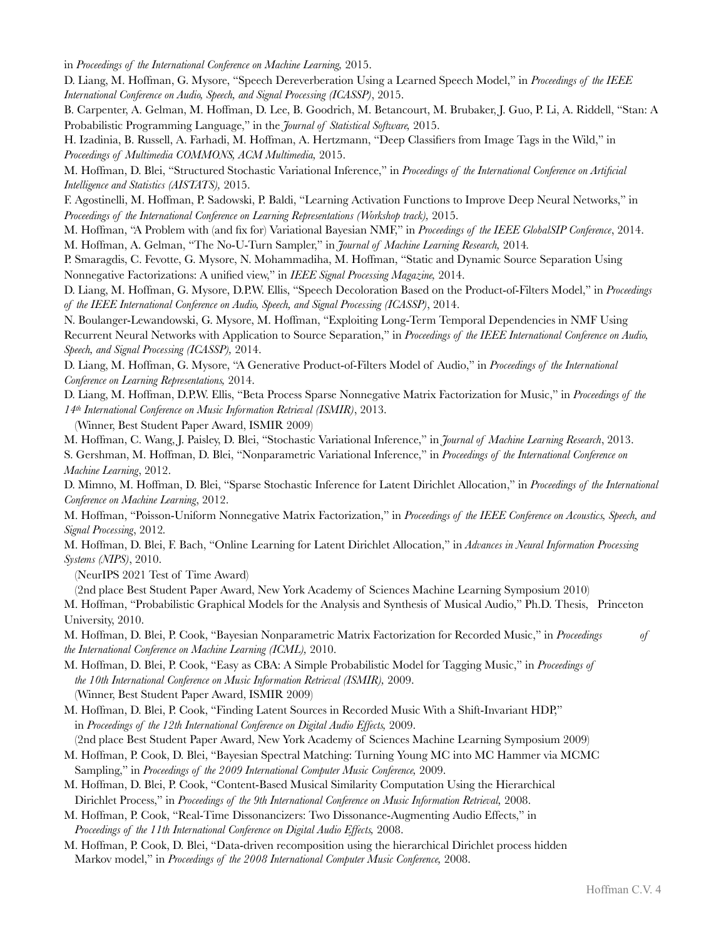in *Proceedings of the International Conference on Machine Learning,* 2015.

D. Liang, M. Hoffman, G. Mysore, "Speech Dereverberation Using a Learned Speech Model," in *Proceedings of the IEEE International Conference on Audio, Speech, and Signal Processing (ICASSP)*, 2015.

B. Carpenter, A. Gelman, M. Hoffman, D. Lee, B. Goodrich, M. Betancourt, M. Brubaker, J. Guo, P. Li, A. Riddell, "Stan: A Probabilistic Programming Language," in the *Journal of Statistical Software,* 2015.

H. Izadinia, B. Russell, A. Farhadi, M. Hoffman, A. Hertzmann, "Deep Classifiers from Image Tags in the Wild," in *Proceedings of Multimedia COMMONS, ACM Multimedia,* 2015.

M. Hoffman, D. Blei, "Structured Stochastic Variational Inference," in *Proceedings of the International Conference on Artificial Intelligence and Statistics (AISTATS),* 2015.

F. Agostinelli, M. Hoffman, P. Sadowski, P. Baldi, "Learning Activation Functions to Improve Deep Neural Networks," in *Proceedings of the International Conference on Learning Representations (Workshop track),* 2015.

M. Hoffman, "A Problem with (and fix for) Variational Bayesian NMF," in *Proceedings of the IEEE GlobalSIP Conference*, 2014. M. Hoffman, A. Gelman, "The No-U-Turn Sampler," in *Journal of Machine Learning Research,* 2014*.*

P. Smaragdis, C. Fevotte, G. Mysore, N. Mohammadiha, M. Hoffman, "[Static and Dynamic Source Separation Using](http://scholar.google.com/citations?view_op=view_citation&hl=en&user=IeHKeGYAAAAJ&sortby=pubdate&citation_for_view=IeHKeGYAAAAJ:Zph67rFs4hoC)  [Nonnegative Factorizations: A unified view,](http://scholar.google.com/citations?view_op=view_citation&hl=en&user=IeHKeGYAAAAJ&sortby=pubdate&citation_for_view=IeHKeGYAAAAJ:Zph67rFs4hoC)" in *IEEE Signal Processing Magazine,* 2014.

D. Liang, M. Hoffman, G. Mysore, D.P.W. Ellis, "Speech Decoloration Based on the Product-of-Filters Model," in *Proceedings of the IEEE International Conference on Audio, Speech, and Signal Processing (ICASSP)*, 2014.

N. Boulanger-Lewandowski, G. Mysore, M. Hoffman, ["Exploiting Long-Term Temporal Dependencies in NMF Using](http://scholar.google.com/citations?view_op=view_citation&hl=en&user=Afa_1z4AAAAJ&citation_for_view=Afa_1z4AAAAJ:EYYDruWGBe4C)  [Recurrent Neural Networks with Application to Source Separation," in](http://scholar.google.com/citations?view_op=view_citation&hl=en&user=Afa_1z4AAAAJ&citation_for_view=Afa_1z4AAAAJ:EYYDruWGBe4C) *Proceedings of the IEEE International Conference on Audio, Speech, and Signal Processing (ICASSP),* 2014.

D. Liang, M. Hoffman, G. Mysore, ["A Generative Product-of-Filters Model of Audio](http://scholar.google.com/citations?view_op=view_citation&hl=en&user=IeHKeGYAAAAJ&sortby=pubdate&citation_for_view=IeHKeGYAAAAJ:3fE2CSJIrl8C)," in *Proceedings of the International Conference on Learning Representations,* 2014.

D. Liang, M. Hoffman, D.P.W. Ellis, "Beta Process Sparse Nonnegative Matrix Factorization for Music," in *Proceedings of the 14th International Conference on Music Information Retrieval (ISMIR)*, 2013.

(Winner, Best Student Paper Award, ISMIR 2009)

M. Hoffman, C. Wang, J. Paisley, D. Blei, "Stochastic Variational Inference," in *Journal of Machine Learning Research*, 2013.

S. Gershman, M. Hoffman, D. Blei, "Nonparametric Variational Inference," in *Proceedings of the International Conference on Machine Learning*, 2012.

D. Mimno, M. Hoffman, D. Blei, "Sparse Stochastic Inference for Latent Dirichlet Allocation," in *Proceedings of the International Conference on Machine Learning*, 2012.

M. Hoffman, "Poisson-Uniform Nonnegative Matrix Factorization," in *Proceedings of the IEEE Conference on Acoustics, Speech, and Signal Processing*, 2012*.*

M. Hoffman, D. Blei, F. Bach, "Online Learning for Latent Dirichlet Allocation," in *Advances in Neural Information Processing Systems (NIPS)*, 2010.

(NeurIPS 2021 Test of Time Award)

(2nd place Best Student Paper Award, New York Academy of Sciences Machine Learning Symposium 2010) M. Hoffman, "Probabilistic Graphical Models for the Analysis and Synthesis of Musical Audio," Ph.D. Thesis, Princeton University, 2010.

M. Hoffman, D. Blei, P. Cook, "Bayesian Nonparametric Matrix Factorization for Recorded Music," in *Proceedings of the International Conference on Machine Learning (ICML),* 2010.

M. Hoffman, D. Blei, P. Cook, "Easy as CBA: A Simple Probabilistic Model for Tagging Music," in *Proceedings of the 10th International Conference on Music Information Retrieval (ISMIR),* 2009. (Winner, Best Student Paper Award, ISMIR 2009)

M. Hoffman, D. Blei, P. Cook, "Finding Latent Sources in Recorded Music With a Shift-Invariant HDP," in *Proceedings of the 12th International Conference on Digital Audio Effects,* 2009.

(2nd place Best Student Paper Award, New York Academy of Sciences Machine Learning Symposium 2009)

M. Hoffman, P. Cook, D. Blei, "Bayesian Spectral Matching: Turning Young MC into MC Hammer via MCMC Sampling," in *Proceedings of the 2009 International Computer Music Conference,* 2009.

M. Hoffman, D. Blei, P. Cook, "Content-Based Musical Similarity Computation Using the Hierarchical Dirichlet Process," in *Proceedings of the 9th International Conference on Music Information Retrieval,* 2008.

M. Hoffman, P. Cook, "Real-Time Dissonancizers: Two Dissonance-Augmenting Audio Effects," in *Proceedings of the 11th International Conference on Digital Audio Effects,* 2008.

M. Hoffman, P. Cook, D. Blei, "Data-driven recomposition using the hierarchical Dirichlet process hidden Markov model," in *Proceedings of the 2008 International Computer Music Conference,* 2008.